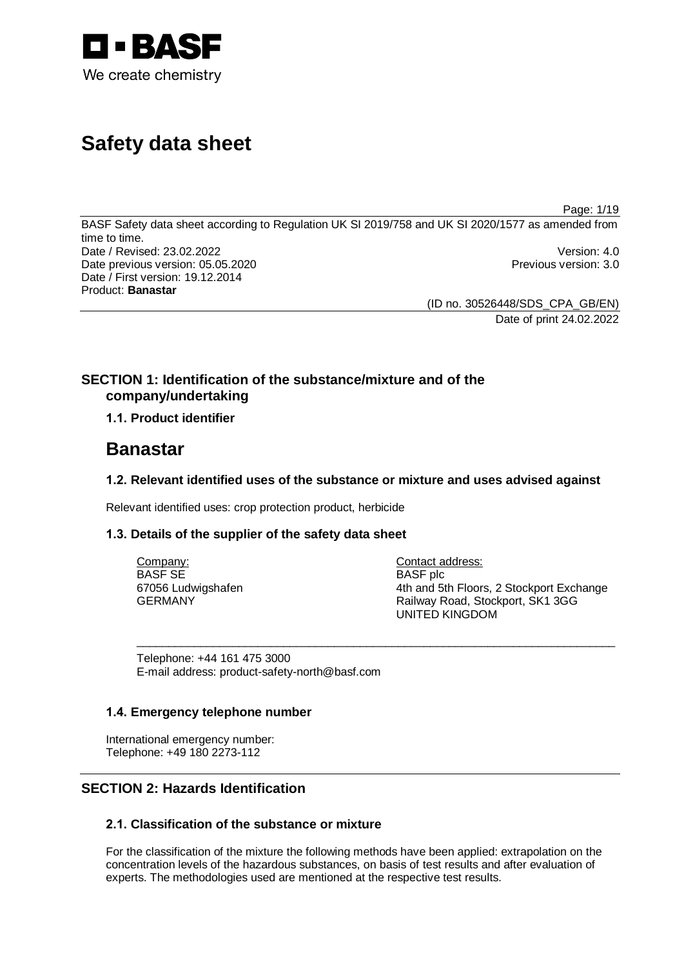

# **Safety data sheet**

BASF Safety data sheet according to Regulation UK SI 2019/758 and UK SI 2020/1577 as amended from time to time. Date / Revised: 23.02.2022 Version: 4.0 Date previous version: 05.05.2020 **Previous version: 3.0** Previous version: 3.0 Date / First version: 19.12.2014 Product: **Banastar**

> (ID no. 30526448/SDS\_CPA\_GB/EN) Date of print 24.02.2022

Page: 1/19

## **SECTION 1: Identification of the substance/mixture and of the company/undertaking**

## **1.1. Product identifier**

## **Banastar**

## **1.2. Relevant identified uses of the substance or mixture and uses advised against**

Relevant identified uses: crop protection product, herbicide

## **1.3. Details of the supplier of the safety data sheet**

| Company:           | Contact address:                         |
|--------------------|------------------------------------------|
| BASF SE            | BASF plc                                 |
| 67056 Ludwigshafen | 4th and 5th Floors, 2 Stockport Exchange |
| GERMANY            | Railway Road, Stockport, SK1 3GG         |
|                    | UNITED KINGDOM                           |

 $\_$  , and the set of the set of the set of the set of the set of the set of the set of the set of the set of the set of the set of the set of the set of the set of the set of the set of the set of the set of the set of th

Telephone: +44 161 475 3000 E-mail address: product-safety-north@basf.com

## **1.4. Emergency telephone number**

International emergency number: Telephone: +49 180 2273-112

## **SECTION 2: Hazards Identification**

## **2.1. Classification of the substance or mixture**

For the classification of the mixture the following methods have been applied: extrapolation on the concentration levels of the hazardous substances, on basis of test results and after evaluation of experts. The methodologies used are mentioned at the respective test results.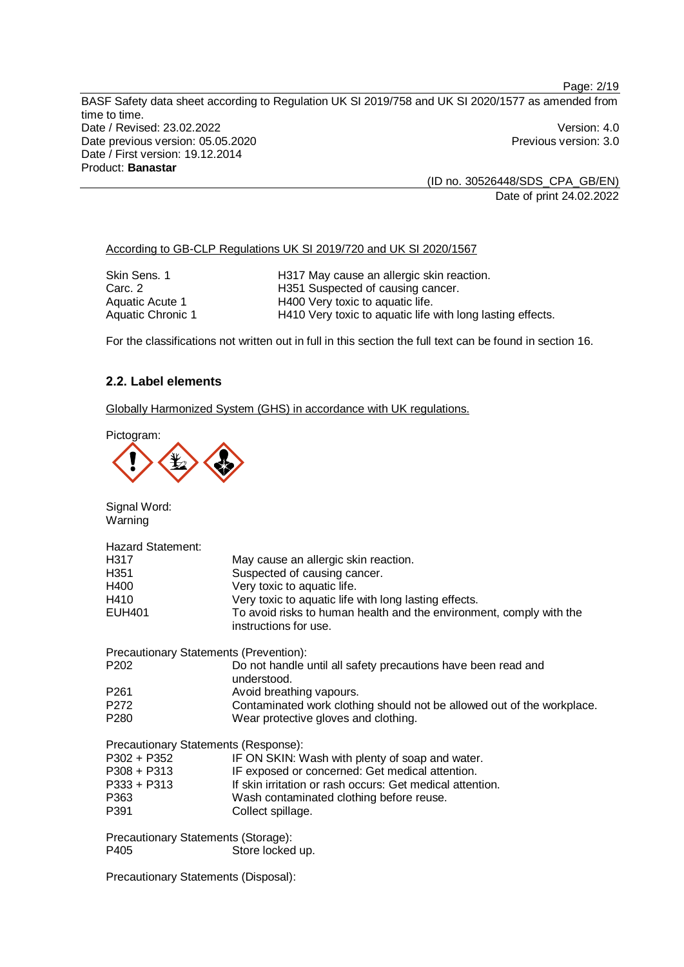(ID no. 30526448/SDS\_CPA\_GB/EN) Date of print 24.02.2022

According to GB-CLP Regulations UK SI 2019/720 and UK SI 2020/1567

| Skin Sens. 1      | H317 May cause an allergic skin reaction.                  |
|-------------------|------------------------------------------------------------|
| Carc. 2           | H351 Suspected of causing cancer.                          |
| Aquatic Acute 1   | H400 Very toxic to aquatic life.                           |
| Aquatic Chronic 1 | H410 Very toxic to aquatic life with long lasting effects. |

For the classifications not written out in full in this section the full text can be found in section 16.

## **2.2. Label elements**

Globally Harmonized System (GHS) in accordance with UK regulations.

Pictogram:



Signal Word: Warning

| May cause an allergic skin reaction.                                                         |
|----------------------------------------------------------------------------------------------|
| Suspected of causing cancer.                                                                 |
| Very toxic to aquatic life.                                                                  |
| Very toxic to aquatic life with long lasting effects.                                        |
| To avoid risks to human health and the environment, comply with the<br>instructions for use. |
| Precautionary Statements (Prevention):                                                       |
| Do not handle until all safety precautions have been read and<br>understood.                 |
| Avoid breathing vapours.                                                                     |
| Contaminated work clothing should not be allowed out of the workplace.                       |
| Wear protective gloves and clothing.                                                         |
| Precautionary Statements (Response):                                                         |
| IF ON SKIN: Wash with plenty of soap and water.                                              |
| IF exposed or concerned: Get medical attention.                                              |
| If skin irritation or rash occurs: Get medical attention.                                    |
| Wash contaminated clothing before reuse.                                                     |
| Collect spillage.                                                                            |
| Precautionary Statements (Storage):<br>Store locked up.                                      |
|                                                                                              |

Precautionary Statements (Disposal):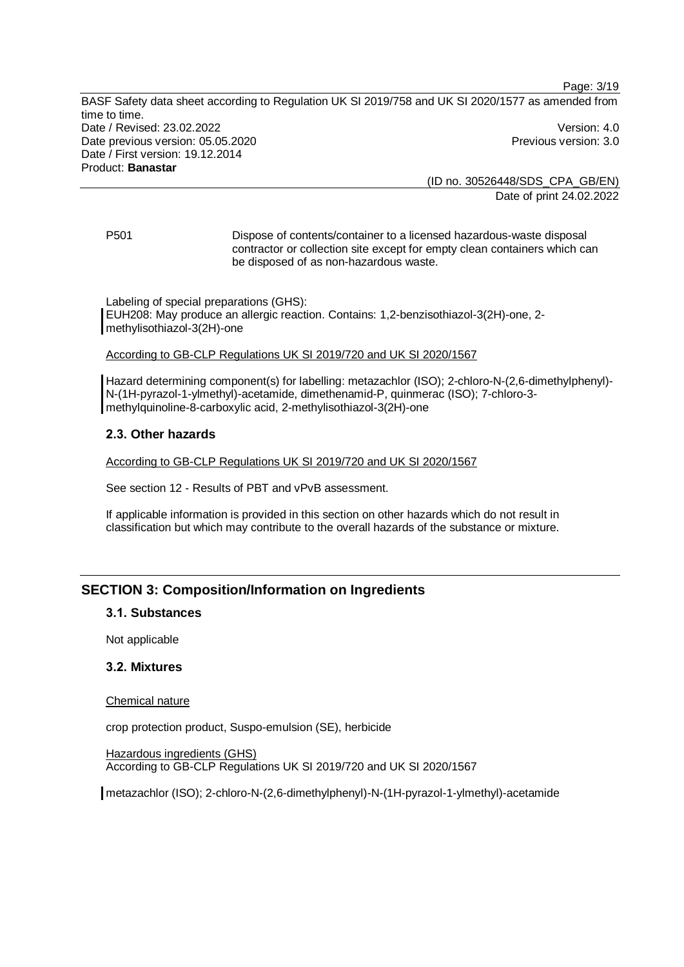(ID no. 30526448/SDS\_CPA\_GB/EN) Date of print 24.02.2022

Page: 3/19

P501 Dispose of contents/container to a licensed hazardous-waste disposal contractor or collection site except for empty clean containers which can be disposed of as non-hazardous waste.

Labeling of special preparations (GHS): EUH208: May produce an allergic reaction. Contains: 1,2-benzisothiazol-3(2H)-one, 2 methylisothiazol-3(2H)-one

#### According to GB-CLP Regulations UK SI 2019/720 and UK SI 2020/1567

Hazard determining component(s) for labelling: metazachlor (ISO); 2-chloro-N-(2,6-dimethylphenyl)- N-(1H-pyrazol-1-ylmethyl)-acetamide, dimethenamid-P, quinmerac (ISO); 7-chloro-3 methylquinoline-8-carboxylic acid, 2-methylisothiazol-3(2H)-one

## **2.3. Other hazards**

According to GB-CLP Regulations UK SI 2019/720 and UK SI 2020/1567

See section 12 - Results of PBT and vPvB assessment.

If applicable information is provided in this section on other hazards which do not result in classification but which may contribute to the overall hazards of the substance or mixture.

## **SECTION 3: Composition/Information on Ingredients**

#### **3.1. Substances**

Not applicable

#### **3.2. Mixtures**

#### Chemical nature

crop protection product, Suspo-emulsion (SE), herbicide

Hazardous ingredients (GHS) According to GB-CLP Regulations UK SI 2019/720 and UK SI 2020/1567

metazachlor (ISO); 2-chloro-N-(2,6-dimethylphenyl)-N-(1H-pyrazol-1-ylmethyl)-acetamide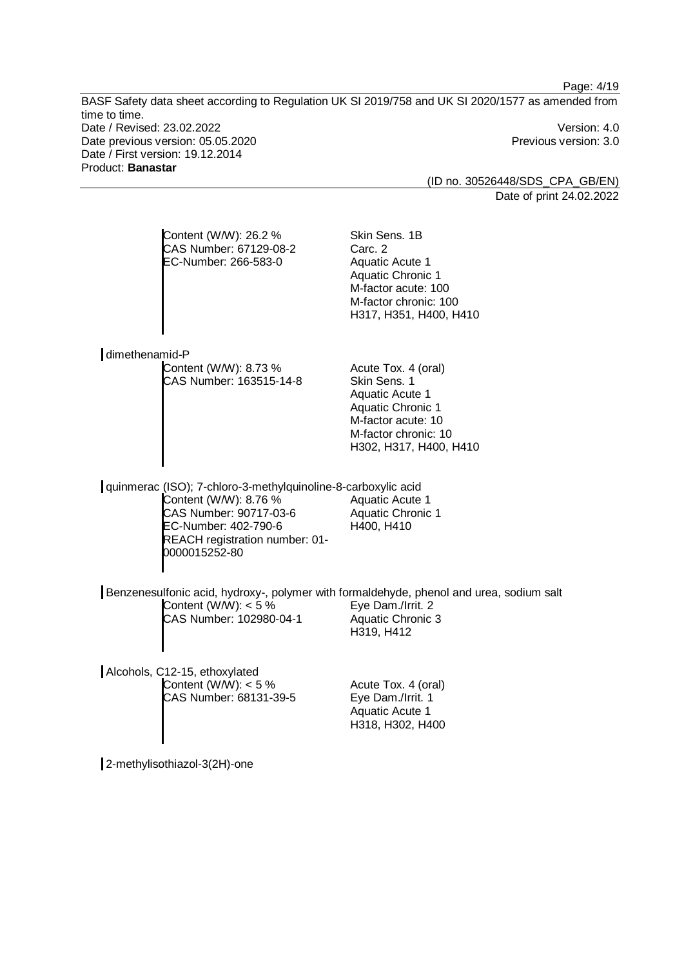(ID no. 30526448/SDS\_CPA\_GB/EN) Date of print 24.02.2022

Page: 4/19

| Content (W/W): 26.2 %<br>CAS Number: 67129-08-2<br>EC-Number: 266-583-0                                                                                                                     | Skin Sens. 1B<br>Carc. 2<br><b>Aquatic Acute 1</b><br>Aquatic Chronic 1<br>M-factor acute: 100<br>M-factor chronic: 100<br>H317, H351, H400, H410                 |
|---------------------------------------------------------------------------------------------------------------------------------------------------------------------------------------------|-------------------------------------------------------------------------------------------------------------------------------------------------------------------|
| dimethenamid-P                                                                                                                                                                              |                                                                                                                                                                   |
| Content (W/W): 8.73 %<br>CAS Number: 163515-14-8                                                                                                                                            | Acute Tox. 4 (oral)<br>Skin Sens, 1<br><b>Aquatic Acute 1</b><br><b>Aquatic Chronic 1</b><br>M-factor acute: 10<br>M-factor chronic: 10<br>H302, H317, H400, H410 |
| quinmerac (ISO); 7-chloro-3-methylquinoline-8-carboxylic acid<br>Content (W/W): 8.76 %<br>CAS Number: 90717-03-6<br>EC-Number: 402-790-6<br>REACH registration number: 01-<br>0000015252-80 | Aquatic Acute 1<br><b>Aquatic Chronic 1</b><br>H400, H410                                                                                                         |
|                                                                                                                                                                                             |                                                                                                                                                                   |
| Benzenesulfonic acid, hydroxy-, polymer with formaldehyde, phenol and urea, sodium salt<br>Content (W/W): $<$ 5 %<br>CAS Number: 102980-04-1                                                | Eye Dam./Irrit. 2<br><b>Aquatic Chronic 3</b><br>H319, H412                                                                                                       |
| Alcohols, C12-15, ethoxylated<br>Content (W/W): $<$ 5 %<br>CAS Number: 68131-39-5                                                                                                           | Acute Tox. 4 (oral)<br>Eye Dam./Irrit. 1<br><b>Aquatic Acute 1</b><br>H318, H302, H400                                                                            |
|                                                                                                                                                                                             |                                                                                                                                                                   |

2-methylisothiazol-3(2H)-one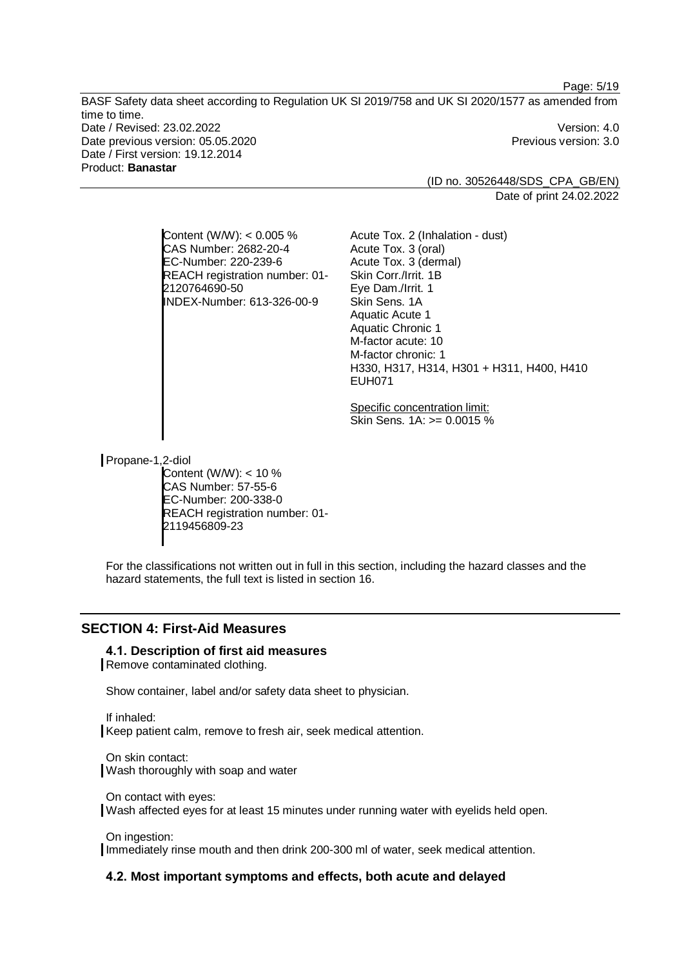> (ID no. 30526448/SDS\_CPA\_GB/EN) Date of print 24.02.2022

Page: 5/19

Content (W/W): < 0.005 % CAS Number: 2682-20-4 EC-Number: 220-239-6 REACH registration number: 01- 2120764690-50 INDEX-Number: 613-326-00-9

Acute Tox. 3 (dermal) Skin Corr./Irrit. 1B Eye Dam./Irrit. 1 Skin Sens. 1A Aquatic Acute 1 Aquatic Chronic 1 M-factor acute: 10 M-factor chronic: 1 H330, H317, H314, H301 + H311, H400, H410 EUH071

Specific concentration limit: Skin Sens. 1A: >= 0.0015 %

Acute Tox. 2 (Inhalation - dust)

Acute Tox. 3 (oral)

Propane-1,2-diol

Content  $(W/W)$ : < 10 % CAS Number: 57-55-6 EC-Number: 200-338-0 REACH registration number: 01- 2119456809-23

For the classifications not written out in full in this section, including the hazard classes and the hazard statements, the full text is listed in section 16.

## **SECTION 4: First-Aid Measures**

#### **4.1. Description of first aid measures**

Remove contaminated clothing.

Show container, label and/or safety data sheet to physician.

If inhaled: Keep patient calm, remove to fresh air, seek medical attention.

On skin contact: Wash thoroughly with soap and water

On contact with eyes: Wash affected eyes for at least 15 minutes under running water with eyelids held open.

On ingestion:

Immediately rinse mouth and then drink 200-300 ml of water, seek medical attention.

#### **4.2. Most important symptoms and effects, both acute and delayed**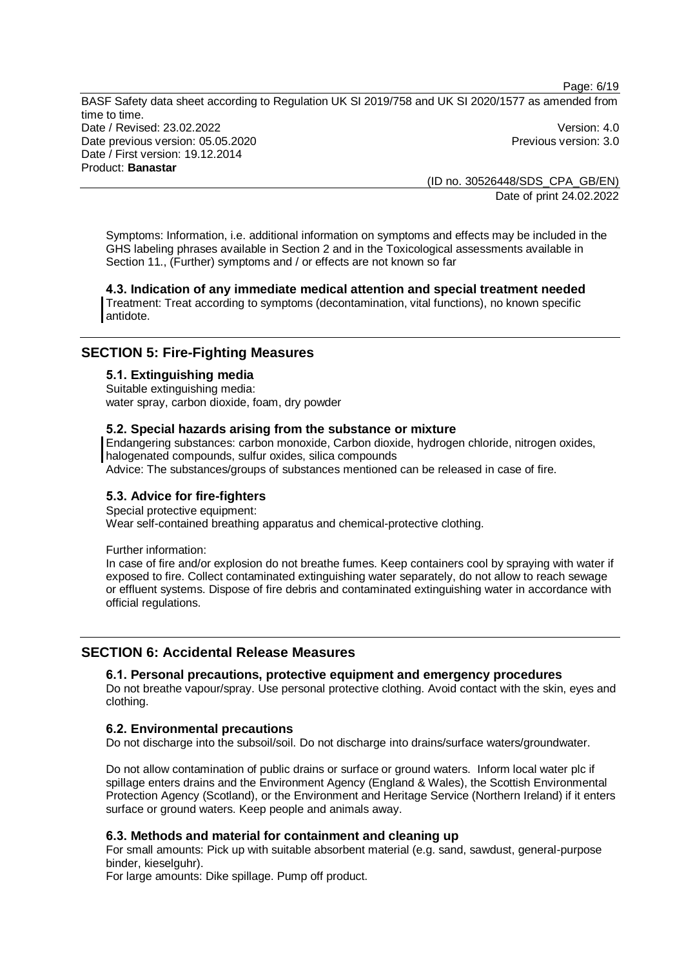(ID no. 30526448/SDS\_CPA\_GB/EN) Date of print 24.02.2022

Page: 6/19

Symptoms: Information, i.e. additional information on symptoms and effects may be included in the GHS labeling phrases available in Section 2 and in the Toxicological assessments available in Section 11., (Further) symptoms and / or effects are not known so far

**4.3. Indication of any immediate medical attention and special treatment needed** Treatment: Treat according to symptoms (decontamination, vital functions), no known specific antidote.

## **SECTION 5: Fire-Fighting Measures**

#### **5.1. Extinguishing media**

Suitable extinguishing media: water spray, carbon dioxide, foam, dry powder

#### **5.2. Special hazards arising from the substance or mixture**

Endangering substances: carbon monoxide, Carbon dioxide, hydrogen chloride, nitrogen oxides, halogenated compounds, sulfur oxides, silica compounds

Advice: The substances/groups of substances mentioned can be released in case of fire.

## **5.3. Advice for fire-fighters**

Special protective equipment:

Wear self-contained breathing apparatus and chemical-protective clothing.

Further information:

In case of fire and/or explosion do not breathe fumes. Keep containers cool by spraying with water if exposed to fire. Collect contaminated extinguishing water separately, do not allow to reach sewage or effluent systems. Dispose of fire debris and contaminated extinguishing water in accordance with official regulations.

## **SECTION 6: Accidental Release Measures**

## **6.1. Personal precautions, protective equipment and emergency procedures**

Do not breathe vapour/spray. Use personal protective clothing. Avoid contact with the skin, eyes and clothing.

#### **6.2. Environmental precautions**

Do not discharge into the subsoil/soil. Do not discharge into drains/surface waters/groundwater.

Do not allow contamination of public drains or surface or ground waters. Inform local water plc if spillage enters drains and the Environment Agency (England & Wales), the Scottish Environmental Protection Agency (Scotland), or the Environment and Heritage Service (Northern Ireland) if it enters surface or ground waters. Keep people and animals away.

## **6.3. Methods and material for containment and cleaning up**

For small amounts: Pick up with suitable absorbent material (e.g. sand, sawdust, general-purpose binder, kieselguhr).

For large amounts: Dike spillage. Pump off product.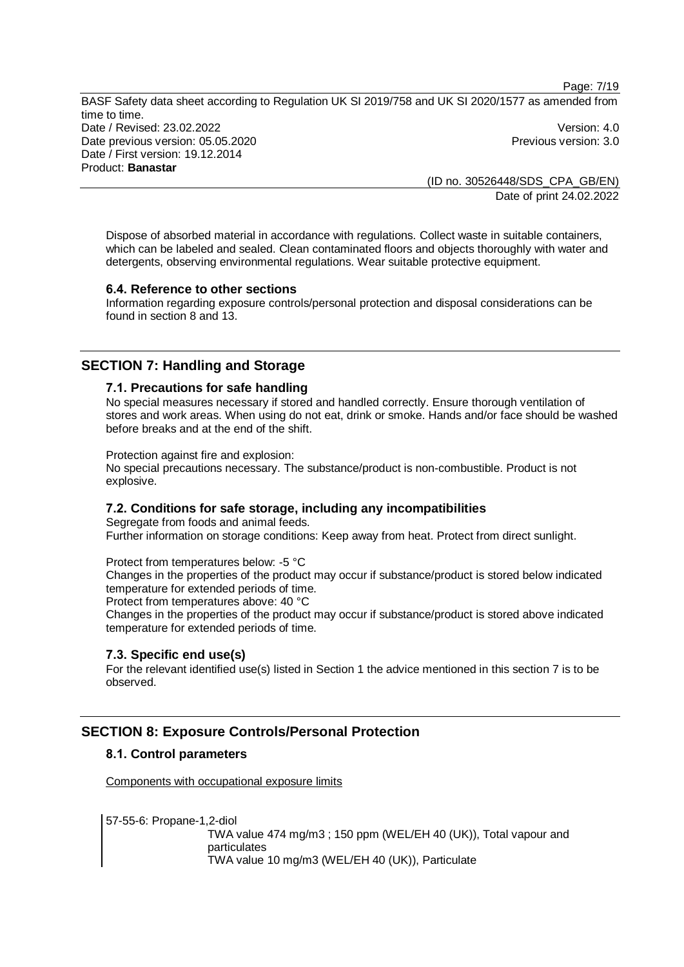(ID no. 30526448/SDS\_CPA\_GB/EN) Date of print 24.02.2022

Page: 7/19

Dispose of absorbed material in accordance with regulations. Collect waste in suitable containers, which can be labeled and sealed. Clean contaminated floors and objects thoroughly with water and detergents, observing environmental regulations. Wear suitable protective equipment.

## **6.4. Reference to other sections**

Information regarding exposure controls/personal protection and disposal considerations can be found in section 8 and 13.

## **SECTION 7: Handling and Storage**

#### **7.1. Precautions for safe handling**

No special measures necessary if stored and handled correctly. Ensure thorough ventilation of stores and work areas. When using do not eat, drink or smoke. Hands and/or face should be washed before breaks and at the end of the shift.

Protection against fire and explosion:

No special precautions necessary. The substance/product is non-combustible. Product is not explosive.

## **7.2. Conditions for safe storage, including any incompatibilities**

Segregate from foods and animal feeds. Further information on storage conditions: Keep away from heat. Protect from direct sunlight.

Protect from temperatures below: -5 °C

Changes in the properties of the product may occur if substance/product is stored below indicated temperature for extended periods of time.

Protect from temperatures above: 40 °C

Changes in the properties of the product may occur if substance/product is stored above indicated temperature for extended periods of time.

#### **7.3. Specific end use(s)**

For the relevant identified use(s) listed in Section 1 the advice mentioned in this section 7 is to be observed.

## **SECTION 8: Exposure Controls/Personal Protection**

## **8.1. Control parameters**

Components with occupational exposure limits

57-55-6: Propane-1,2-diol TWA value 474 mg/m3 ; 150 ppm (WEL/EH 40 (UK)), Total vapour and particulates TWA value 10 mg/m3 (WEL/EH 40 (UK)), Particulate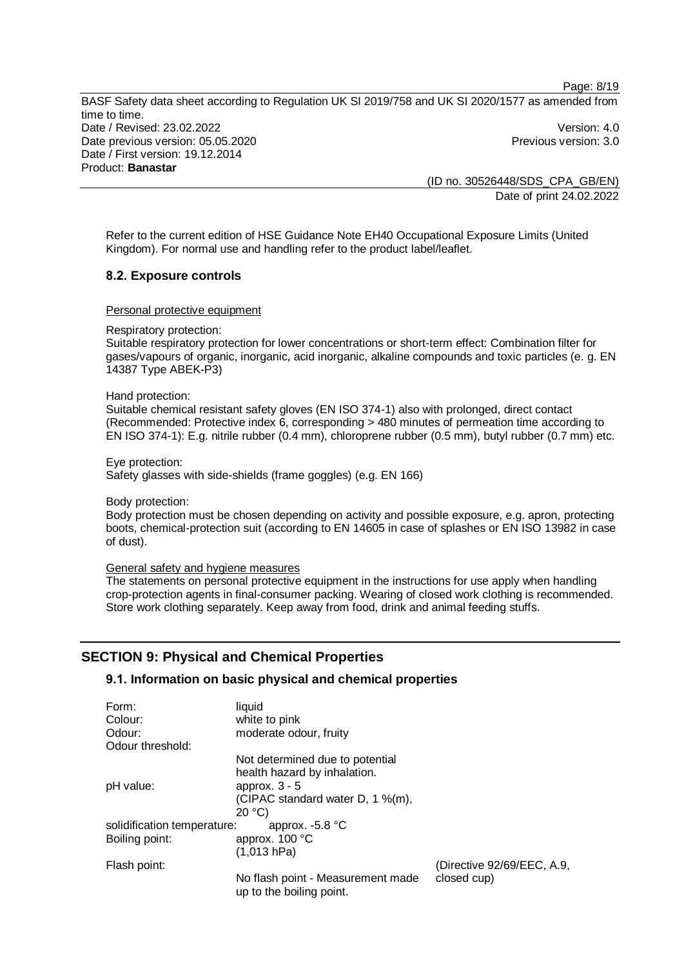(ID no. 30526448/SDS\_CPA\_GB/EN) Date of print 24.02.2022

Page: 8/19

Refer to the current edition of HSE Guidance Note EH40 Occupational Exposure Limits (United Kingdom). For normal use and handling refer to the product label/leaflet.

## **8.2. Exposure controls**

#### Personal protective equipment

Respiratory protection:

Suitable respiratory protection for lower concentrations or short-term effect: Combination filter for gases/vapours of organic, inorganic, acid inorganic, alkaline compounds and toxic particles (e. g. EN 14387 Type ABEK-P3)

#### Hand protection:

Suitable chemical resistant safety gloves (EN ISO 374-1) also with prolonged, direct contact (Recommended: Protective index 6, corresponding > 480 minutes of permeation time according to EN ISO 374-1): E.g. nitrile rubber (0.4 mm), chloroprene rubber (0.5 mm), butyl rubber (0.7 mm) etc.

Eye protection:

Safety glasses with side-shields (frame goggles) (e.g. EN 166)

Body protection:

Body protection must be chosen depending on activity and possible exposure, e.g. apron, protecting boots, chemical-protection suit (according to EN 14605 in case of splashes or EN ISO 13982 in case of dust).

#### General safety and hygiene measures

The statements on personal protective equipment in the instructions for use apply when handling crop-protection agents in final-consumer packing. Wearing of closed work clothing is recommended. Store work clothing separately. Keep away from food, drink and animal feeding stuffs.

## **SECTION 9: Physical and Chemical Properties**

#### **9.1. Information on basic physical and chemical properties**

| Form:                       | liquid                                                          |                            |
|-----------------------------|-----------------------------------------------------------------|----------------------------|
| Colour:                     | white to pink                                                   |                            |
| Odour:                      | moderate odour, fruity                                          |                            |
| Odour threshold:            |                                                                 |                            |
|                             | Not determined due to potential<br>health hazard by inhalation. |                            |
| pH value:                   | approx. $3 - 5$<br>(CIPAC standard water D, 1 %(m),<br>20 °C    |                            |
| solidification temperature: | approx. $-5.8$ °C                                               |                            |
| Boiling point:              | approx. 100 °C                                                  |                            |
|                             | (1,013 hPa)                                                     |                            |
| Flash point:                |                                                                 | (Directive 92/69/EEC, A.9, |
|                             | No flash point - Measurement made<br>up to the boiling point.   | closed cup)                |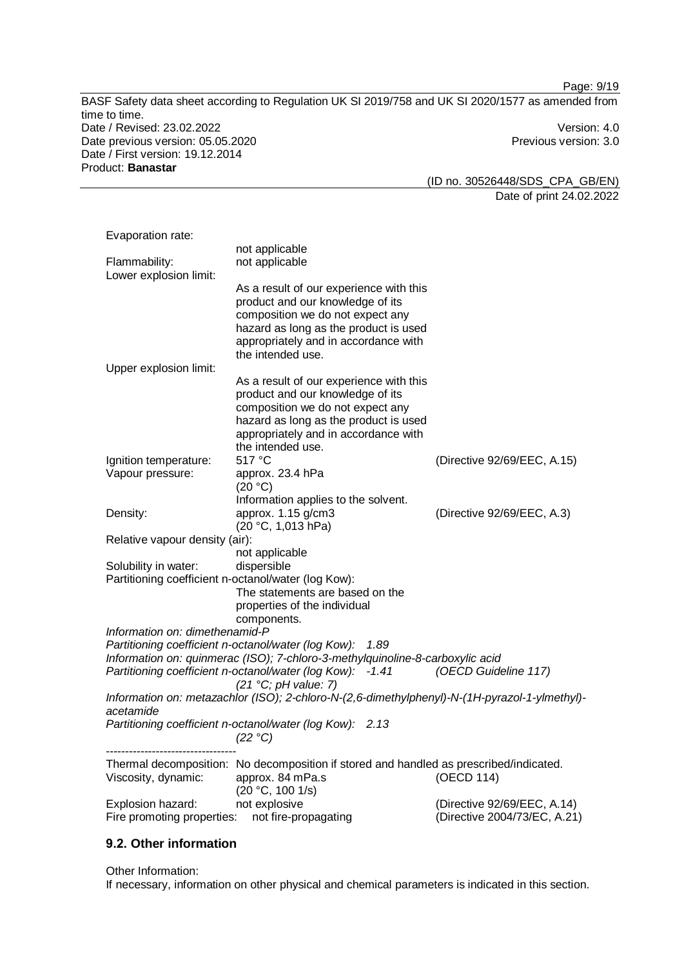Page: 9/19

BASF Safety data sheet according to Regulation UK SI 2019/758 and UK SI 2020/1577 as amended from time to time. Date / Revised: 23.02.2022 Version: 4.0 Date previous version: 05.05.2020 **Previous version: 3.0** Previous version: 3.0 Date / First version: 19.12.2014 Product: **Banastar**

(ID no. 30526448/SDS\_CPA\_GB/EN) Date of print 24.02.2022

Evaporation rate: not applicable Flammability: not applicable Lower explosion limit: As a result of our experience with this product and our knowledge of its composition we do not expect any hazard as long as the product is used appropriately and in accordance with the intended use. Upper explosion limit: As a result of our experience with this product and our knowledge of its composition we do not expect any hazard as long as the product is used appropriately and in accordance with the intended use. Ignition temperature: 517 °C (Directive 92/69/EEC, A.15) Vapour pressure: approx. 23.4 hPa (20 °C) Information applies to the solvent. Density: approx. 1.15 g/cm3 (20 °C, 1,013 hPa) (Directive 92/69/EEC, A.3) Relative vapour density (air): not applicable Solubility in water: dispersible Partitioning coefficient n-octanol/water (log Kow): The statements are based on the properties of the individual components. *Information on: dimethenamid-P Partitioning coefficient n-octanol/water (log Kow): 1.89 Information on: quinmerac (ISO); 7-chloro-3-methylquinoline-8-carboxylic acid Partitioning coefficient n-octanol/water (log Kow): -1.41 (21 °C; pH value: 7) (OECD Guideline 117) Information on: metazachlor (ISO); 2-chloro-N-(2,6-dimethylphenyl)-N-(1H-pyrazol-1-ylmethyl) acetamide Partitioning coefficient n-octanol/water (log Kow): 2.13 (22 °C)* ---------------------------------- Thermal decomposition: No decomposition if stored and handled as prescribed/indicated. Viscosity, dynamic: approx. 84 mPa.s (20 °C, 100 1/s) (OECD 114) Explosion hazard: not explosive (Directive 92/69/EEC, A.14) Fire promoting properties: not fire-propagating (Directive 2004/73/EC, A.21)

## **9.2. Other information**

Other Information: If necessary, information on other physical and chemical parameters is indicated in this section.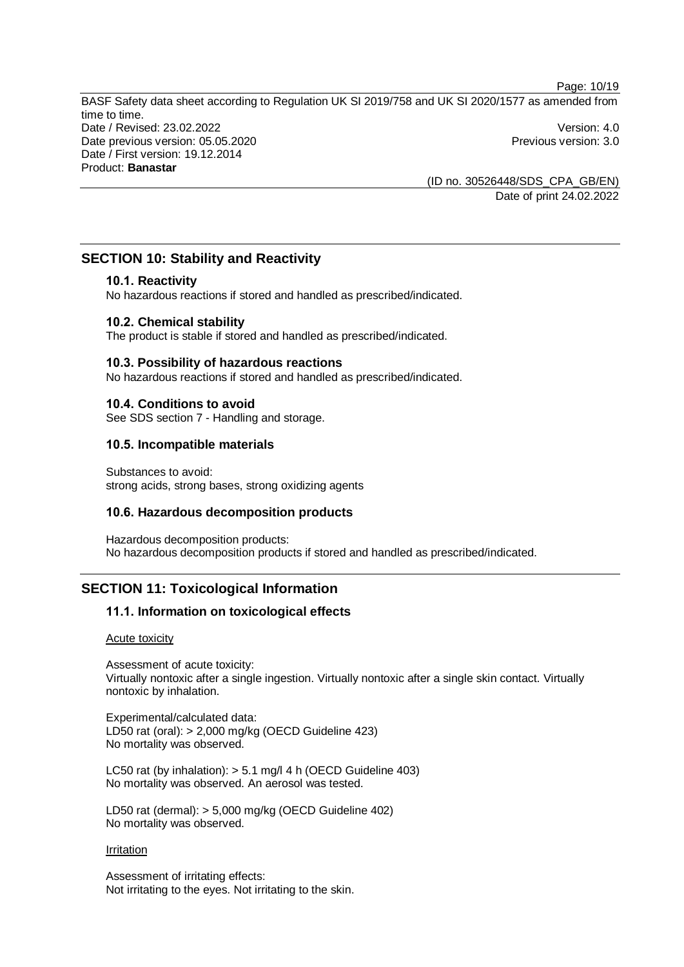(ID no. 30526448/SDS\_CPA\_GB/EN) Date of print 24.02.2022

Page: 10/19

## **SECTION 10: Stability and Reactivity**

#### **10.1. Reactivity**

No hazardous reactions if stored and handled as prescribed/indicated.

#### **10.2. Chemical stability**

The product is stable if stored and handled as prescribed/indicated.

#### **10.3. Possibility of hazardous reactions**

No hazardous reactions if stored and handled as prescribed/indicated.

#### **10.4. Conditions to avoid**

See SDS section 7 - Handling and storage.

## **10.5. Incompatible materials**

Substances to avoid: strong acids, strong bases, strong oxidizing agents

## **10.6. Hazardous decomposition products**

Hazardous decomposition products: No hazardous decomposition products if stored and handled as prescribed/indicated.

## **SECTION 11: Toxicological Information**

## **11.1. Information on toxicological effects**

Acute toxicity

Assessment of acute toxicity: Virtually nontoxic after a single ingestion. Virtually nontoxic after a single skin contact. Virtually nontoxic by inhalation.

Experimental/calculated data: LD50 rat (oral): > 2,000 mg/kg (OECD Guideline 423) No mortality was observed.

LC50 rat (by inhalation): > 5.1 mg/l 4 h (OECD Guideline 403) No mortality was observed. An aerosol was tested.

LD50 rat (dermal): > 5,000 mg/kg (OECD Guideline 402) No mortality was observed.

#### Irritation

Assessment of irritating effects: Not irritating to the eyes. Not irritating to the skin.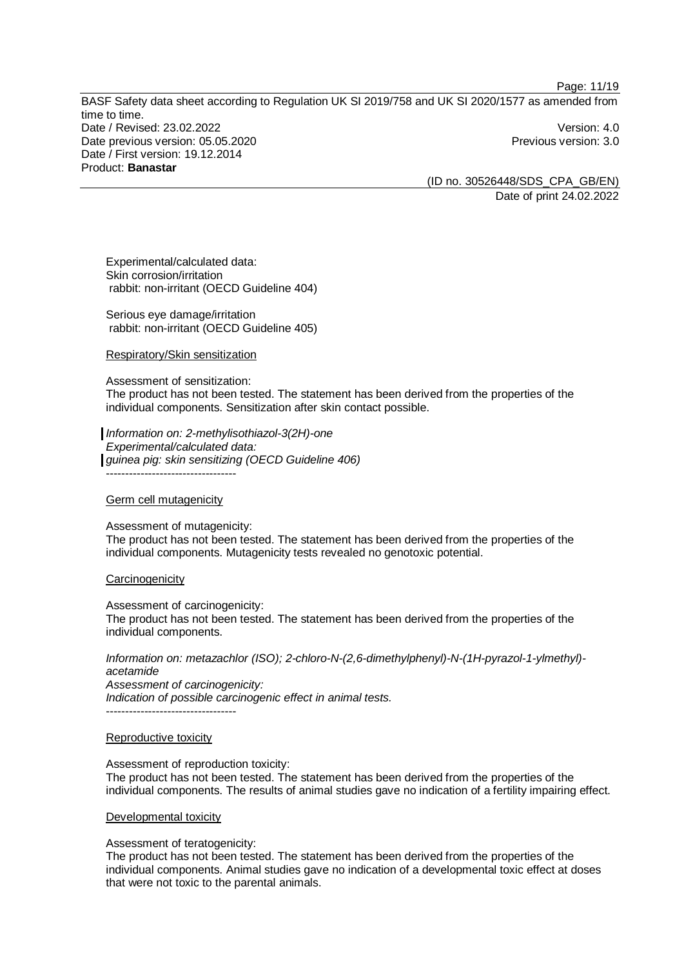Page: 11/19

BASF Safety data sheet according to Regulation UK SI 2019/758 and UK SI 2020/1577 as amended from time to time. Date / Revised: 23.02.2022 Version: 4.0 Date previous version: 05.05.2020 **Previous version: 3.0** Previous version: 3.0 Date / First version: 19.12.2014 Product: **Banastar**

(ID no. 30526448/SDS\_CPA\_GB/EN) Date of print 24.02.2022

Experimental/calculated data: Skin corrosion/irritation rabbit: non-irritant (OECD Guideline 404)

Serious eye damage/irritation rabbit: non-irritant (OECD Guideline 405)

Respiratory/Skin sensitization

Assessment of sensitization:

The product has not been tested. The statement has been derived from the properties of the individual components. Sensitization after skin contact possible.

*Information on: 2-methylisothiazol-3(2H)-one Experimental/calculated data: guinea pig: skin sensitizing (OECD Guideline 406)* ----------------------------------

#### Germ cell mutagenicity

Assessment of mutagenicity: The product has not been tested. The statement has been derived from the properties of the individual components. Mutagenicity tests revealed no genotoxic potential.

#### **Carcinogenicity**

Assessment of carcinogenicity: The product has not been tested. The statement has been derived from the properties of the individual components.

*Information on: metazachlor (ISO); 2-chloro-N-(2,6-dimethylphenyl)-N-(1H-pyrazol-1-ylmethyl) acetamide Assessment of carcinogenicity: Indication of possible carcinogenic effect in animal tests.* ----------------------------------

#### Reproductive toxicity

#### Assessment of reproduction toxicity:

The product has not been tested. The statement has been derived from the properties of the individual components. The results of animal studies gave no indication of a fertility impairing effect.

#### Developmental toxicity

#### Assessment of teratogenicity:

The product has not been tested. The statement has been derived from the properties of the individual components. Animal studies gave no indication of a developmental toxic effect at doses that were not toxic to the parental animals.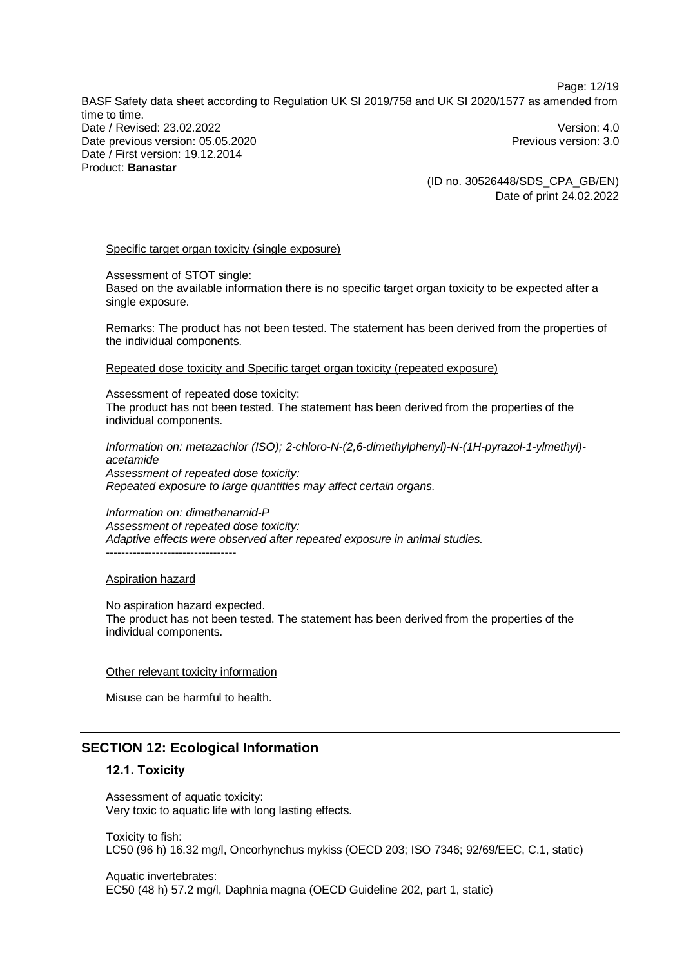(ID no. 30526448/SDS\_CPA\_GB/EN) Date of print 24.02.2022

#### Specific target organ toxicity (single exposure)

Assessment of STOT single:

Based on the available information there is no specific target organ toxicity to be expected after a single exposure.

Remarks: The product has not been tested. The statement has been derived from the properties of the individual components.

Repeated dose toxicity and Specific target organ toxicity (repeated exposure)

Assessment of repeated dose toxicity: The product has not been tested. The statement has been derived from the properties of the individual components.

*Information on: metazachlor (ISO); 2-chloro-N-(2,6-dimethylphenyl)-N-(1H-pyrazol-1-ylmethyl) acetamide Assessment of repeated dose toxicity: Repeated exposure to large quantities may affect certain organs.*

*Information on: dimethenamid-P Assessment of repeated dose toxicity: Adaptive effects were observed after repeated exposure in animal studies.* ----------------------------------

#### Aspiration hazard

No aspiration hazard expected. The product has not been tested. The statement has been derived from the properties of the individual components.

#### Other relevant toxicity information

Misuse can be harmful to health.

## **SECTION 12: Ecological Information**

## **12.1. Toxicity**

Assessment of aquatic toxicity: Very toxic to aquatic life with long lasting effects.

Toxicity to fish: LC50 (96 h) 16.32 mg/l, Oncorhynchus mykiss (OECD 203; ISO 7346; 92/69/EEC, C.1, static)

Aquatic invertebrates: EC50 (48 h) 57.2 mg/l, Daphnia magna (OECD Guideline 202, part 1, static)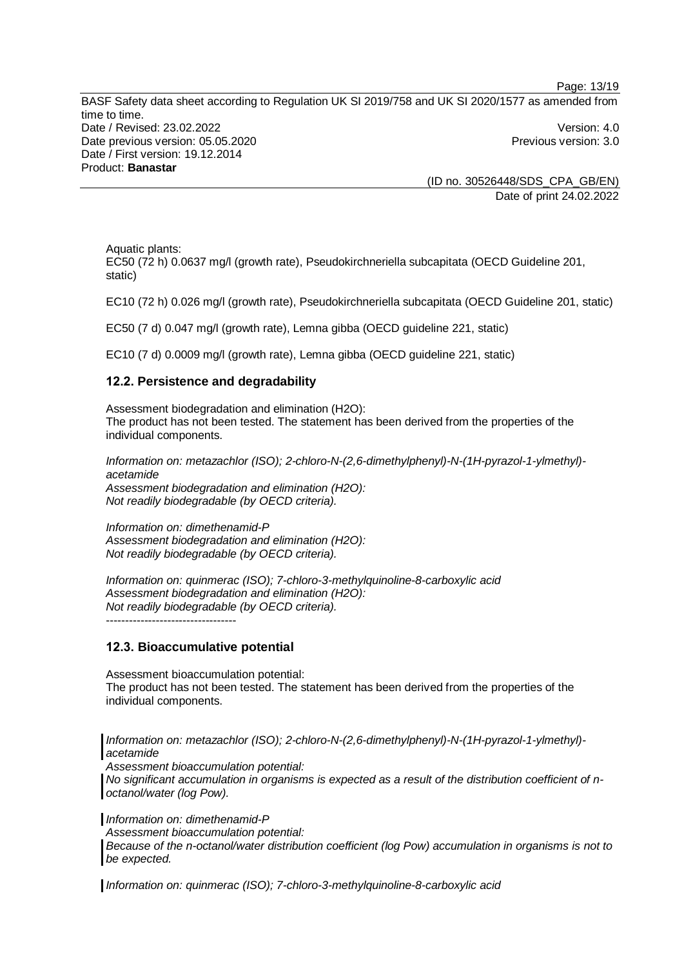Page: 13/19

BASF Safety data sheet according to Regulation UK SI 2019/758 and UK SI 2020/1577 as amended from time to time. Date / Revised: 23.02.2022 Version: 4.0 Date previous version: 05.05.2020 **Previous version: 3.0** Previous version: 3.0 Date / First version: 19.12.2014 Product: **Banastar**

(ID no. 30526448/SDS\_CPA\_GB/EN) Date of print 24.02.2022

Aquatic plants:

EC50 (72 h) 0.0637 mg/l (growth rate), Pseudokirchneriella subcapitata (OECD Guideline 201, static)

EC10 (72 h) 0.026 mg/l (growth rate), Pseudokirchneriella subcapitata (OECD Guideline 201, static)

EC50 (7 d) 0.047 mg/l (growth rate), Lemna gibba (OECD guideline 221, static)

EC10 (7 d) 0.0009 mg/l (growth rate), Lemna gibba (OECD guideline 221, static)

## **12.2. Persistence and degradability**

Assessment biodegradation and elimination (H2O): The product has not been tested. The statement has been derived from the properties of the individual components.

*Information on: metazachlor (ISO); 2-chloro-N-(2,6-dimethylphenyl)-N-(1H-pyrazol-1-ylmethyl) acetamide Assessment biodegradation and elimination (H2O): Not readily biodegradable (by OECD criteria).*

*Information on: dimethenamid-P Assessment biodegradation and elimination (H2O): Not readily biodegradable (by OECD criteria).*

*Information on: quinmerac (ISO); 7-chloro-3-methylquinoline-8-carboxylic acid Assessment biodegradation and elimination (H2O): Not readily biodegradable (by OECD criteria).*

----------------------------------

#### **12.3. Bioaccumulative potential**

Assessment bioaccumulation potential: The product has not been tested. The statement has been derived from the properties of the individual components.

*Information on: metazachlor (ISO); 2-chloro-N-(2,6-dimethylphenyl)-N-(1H-pyrazol-1-ylmethyl) acetamide*

*Assessment bioaccumulation potential:*

*No significant accumulation in organisms is expected as a result of the distribution coefficient of noctanol/water (log Pow).*

*Information on: dimethenamid-P*

*Assessment bioaccumulation potential:*

*Because of the n-octanol/water distribution coefficient (log Pow) accumulation in organisms is not to be expected.*

*Information on: quinmerac (ISO); 7-chloro-3-methylquinoline-8-carboxylic acid*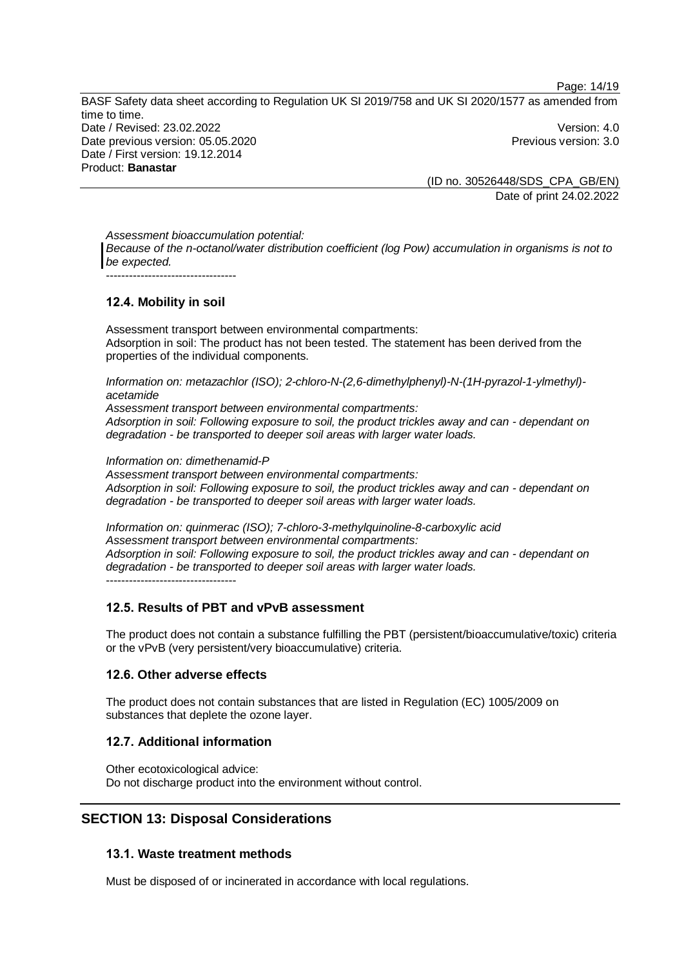Page: 14/19

BASF Safety data sheet according to Regulation UK SI 2019/758 and UK SI 2020/1577 as amended from time to time. Date / Revised: 23.02.2022 Version: 4.0 Date previous version: 05.05.2020 **Previous version: 3.0** Previous version: 3.0 Date / First version: 19.12.2014 Product: **Banastar**

(ID no. 30526448/SDS\_CPA\_GB/EN) Date of print 24.02.2022

*Assessment bioaccumulation potential: Because of the n-octanol/water distribution coefficient (log Pow) accumulation in organisms is not to be expected.*

----------------------------------

## **12.4. Mobility in soil**

Assessment transport between environmental compartments: Adsorption in soil: The product has not been tested. The statement has been derived from the properties of the individual components.

*Information on: metazachlor (ISO); 2-chloro-N-(2,6-dimethylphenyl)-N-(1H-pyrazol-1-ylmethyl) acetamide*

*Assessment transport between environmental compartments: Adsorption in soil: Following exposure to soil, the product trickles away and can - dependant on degradation - be transported to deeper soil areas with larger water loads.*

*Information on: dimethenamid-P*

*Assessment transport between environmental compartments: Adsorption in soil: Following exposure to soil, the product trickles away and can - dependant on degradation - be transported to deeper soil areas with larger water loads.*

*Information on: quinmerac (ISO); 7-chloro-3-methylquinoline-8-carboxylic acid Assessment transport between environmental compartments: Adsorption in soil: Following exposure to soil, the product trickles away and can - dependant on degradation - be transported to deeper soil areas with larger water loads.* ----------------------------------

## **12.5. Results of PBT and vPvB assessment**

The product does not contain a substance fulfilling the PBT (persistent/bioaccumulative/toxic) criteria or the vPvB (very persistent/very bioaccumulative) criteria.

## **12.6. Other adverse effects**

The product does not contain substances that are listed in Regulation (EC) 1005/2009 on substances that deplete the ozone layer.

## **12.7. Additional information**

Other ecotoxicological advice: Do not discharge product into the environment without control.

## **SECTION 13: Disposal Considerations**

## **13.1. Waste treatment methods**

Must be disposed of or incinerated in accordance with local regulations.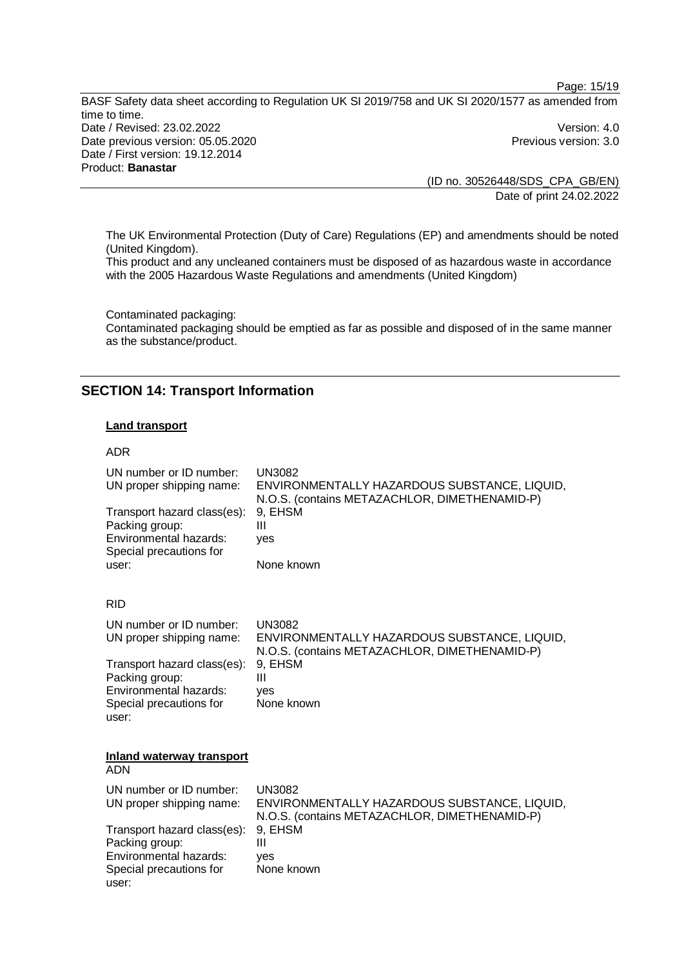Page: 15/19

BASF Safety data sheet according to Regulation UK SI 2019/758 and UK SI 2020/1577 as amended from time to time. Date / Revised: 23.02.2022 Version: 4.0 Date previous version: 05.05.2020 **Previous version: 3.0** Previous version: 3.0 Date / First version: 19.12.2014 Product: **Banastar**

(ID no. 30526448/SDS\_CPA\_GB/EN) Date of print 24.02.2022

The UK Environmental Protection (Duty of Care) Regulations (EP) and amendments should be noted (United Kingdom).

This product and any uncleaned containers must be disposed of as hazardous waste in accordance with the 2005 Hazardous Waste Regulations and amendments (United Kingdom)

Contaminated packaging: Contaminated packaging should be emptied as far as possible and disposed of in the same manner as the substance/product.

## **SECTION 14: Transport Information**

#### **Land transport**

#### ADR

user:

| UN number or ID number:<br>UN proper shipping name:<br>Transport hazard class(es):<br>Packing group:<br>Environmental hazards:<br>Special precautions for<br>user: | <b>UN3082</b><br>ENVIRONMENTALLY HAZARDOUS SUBSTANCE, LIQUID,<br>N.O.S. (contains METAZACHLOR, DIMETHENAMID-P)<br>9, EHSM<br>Ш<br>ves<br>None known |
|--------------------------------------------------------------------------------------------------------------------------------------------------------------------|-----------------------------------------------------------------------------------------------------------------------------------------------------|
| <b>RID</b>                                                                                                                                                         |                                                                                                                                                     |
| UN number or ID number:<br>UN proper shipping name:                                                                                                                | <b>UN3082</b><br>ENVIRONMENTALLY HAZARDOUS SUBSTANCE, LIQUID,<br>N.O.S. (contains METAZACHLOR, DIMETHENAMID-P)                                      |
| Transport hazard class(es):<br>Packing group:<br>Environmental hazards:<br>Special precautions for<br>user:                                                        | 9, EHSM<br>Ш<br>ves<br>None known                                                                                                                   |
| Inland waterway transport<br><b>ADN</b>                                                                                                                            |                                                                                                                                                     |
| UN number or ID number:<br>UN proper shipping name:                                                                                                                | <b>UN3082</b><br>ENVIRONMENTALLY HAZARDOUS SUBSTANCE, LIQUID,<br>N.O.S. (contains METAZACHLOR, DIMETHENAMID-P)                                      |
| Transport hazard class(es):<br>Packing group:<br>Environmental hazards:<br>Special precautions for                                                                 | 9, EHSM<br>Ш<br>ves<br>None known                                                                                                                   |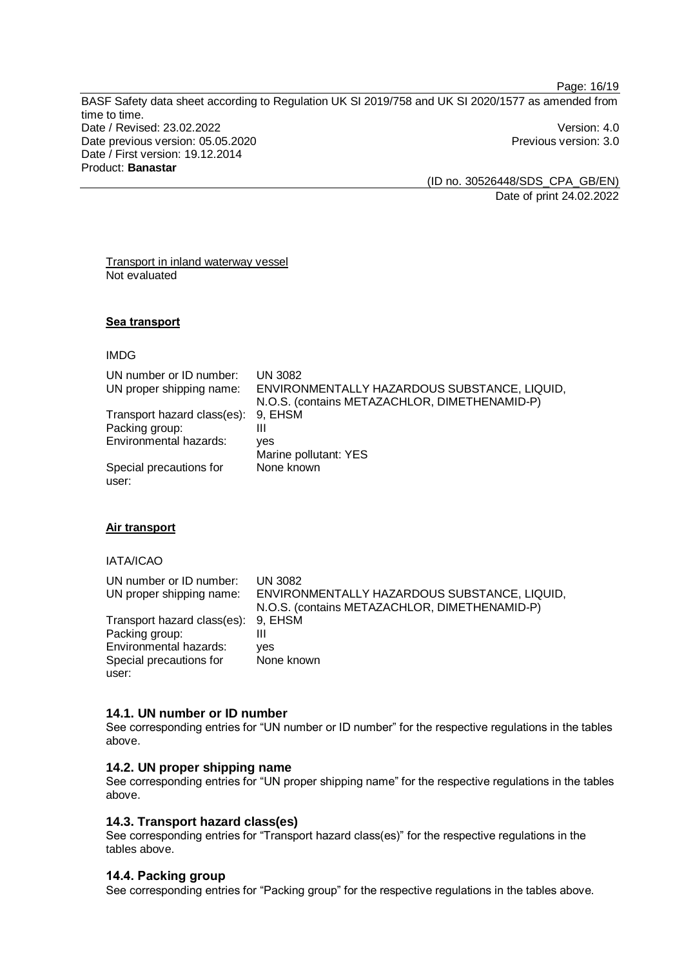Page: 16/19

BASF Safety data sheet according to Regulation UK SI 2019/758 and UK SI 2020/1577 as amended from time to time. Date / Revised: 23.02.2022 Version: 4.0 Date previous version: 05.05.2020 **Previous version: 3.0** Previous version: 3.0 Date / First version: 19.12.2014 Product: **Banastar**

(ID no. 30526448/SDS\_CPA\_GB/EN) Date of print 24.02.2022

Transport in inland waterway vessel Not evaluated

#### **Sea transport**

#### IMDG

| UN number or ID number:<br>UN proper shipping name: | <b>UN 3082</b><br>ENVIRONMENTALLY HAZARDOUS SUBSTANCE, LIQUID,<br>N.O.S. (contains METAZACHLOR, DIMETHENAMID-P) |
|-----------------------------------------------------|-----------------------------------------------------------------------------------------------------------------|
| Transport hazard class(es):                         | 9. EHSM                                                                                                         |
| Packing group:                                      | Ш                                                                                                               |
| Environmental hazards:                              | ves                                                                                                             |
|                                                     | Marine pollutant: YES                                                                                           |
| Special precautions for<br>user:                    | None known                                                                                                      |

#### **Air transport**

#### IATA/ICAO

| UN number or ID number:             | UN 3082                                       |
|-------------------------------------|-----------------------------------------------|
| UN proper shipping name:            | ENVIRONMENTALLY HAZARDOUS SUBSTANCE, LIQUID,  |
|                                     | N.O.S. (contains METAZACHLOR, DIMETHENAMID-P) |
| Transport hazard class(es): 9, EHSM |                                               |
| Packing group:                      |                                               |
| Environmental hazards:              | ves                                           |
| Special precautions for             | None known                                    |
| user:                               |                                               |

#### **14.1. UN number or ID number**

See corresponding entries for "UN number or ID number" for the respective regulations in the tables above.

## **14.2. UN proper shipping name**

See corresponding entries for "UN proper shipping name" for the respective regulations in the tables above.

## **14.3. Transport hazard class(es)**

See corresponding entries for "Transport hazard class(es)" for the respective regulations in the tables above.

#### **14.4. Packing group**

See corresponding entries for "Packing group" for the respective regulations in the tables above.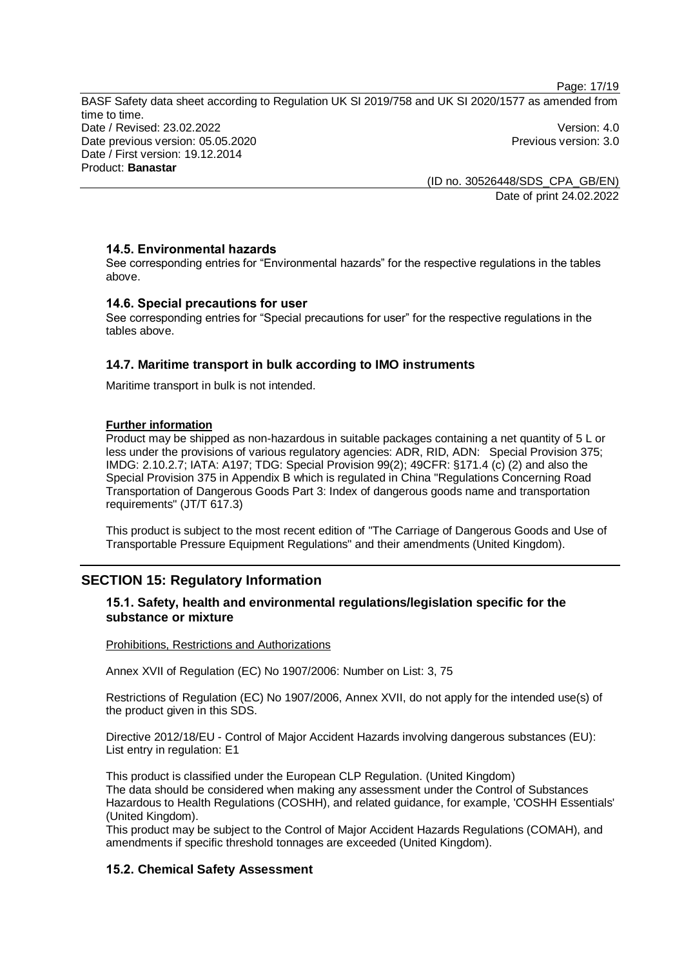Page: 17/19

BASF Safety data sheet according to Regulation UK SI 2019/758 and UK SI 2020/1577 as amended from time to time. Date / Revised: 23.02.2022 Version: 4.0 Date previous version: 05.05.2020 **Previous version: 3.0** Previous version: 3.0 Date / First version: 19.12.2014 Product: **Banastar**

(ID no. 30526448/SDS\_CPA\_GB/EN) Date of print 24.02.2022

## **14.5. Environmental hazards**

See corresponding entries for "Environmental hazards" for the respective regulations in the tables above.

## **14.6. Special precautions for user**

See corresponding entries for "Special precautions for user" for the respective regulations in the tables above.

## **14.7. Maritime transport in bulk according to IMO instruments**

Maritime transport in bulk is not intended.

#### **Further information**

Product may be shipped as non-hazardous in suitable packages containing a net quantity of 5 L or less under the provisions of various regulatory agencies: ADR, RID, ADN: Special Provision 375; IMDG: 2.10.2.7; IATA: A197; TDG: Special Provision 99(2); 49CFR: §171.4 (c) (2) and also the Special Provision 375 in Appendix B which is regulated in China "Regulations Concerning Road Transportation of Dangerous Goods Part 3: Index of dangerous goods name and transportation requirements" (JT/T 617.3)

This product is subject to the most recent edition of "The Carriage of Dangerous Goods and Use of Transportable Pressure Equipment Regulations" and their amendments (United Kingdom).

## **SECTION 15: Regulatory Information**

## **15.1. Safety, health and environmental regulations/legislation specific for the substance or mixture**

#### Prohibitions, Restrictions and Authorizations

Annex XVII of Regulation (EC) No 1907/2006: Number on List: 3, 75

Restrictions of Regulation (EC) No 1907/2006, Annex XVII, do not apply for the intended use(s) of the product given in this SDS.

Directive 2012/18/EU - Control of Major Accident Hazards involving dangerous substances (EU): List entry in regulation: E1

This product is classified under the European CLP Regulation. (United Kingdom) The data should be considered when making any assessment under the Control of Substances Hazardous to Health Regulations (COSHH), and related guidance, for example, 'COSHH Essentials' (United Kingdom).

This product may be subject to the Control of Major Accident Hazards Regulations (COMAH), and amendments if specific threshold tonnages are exceeded (United Kingdom).

## **15.2. Chemical Safety Assessment**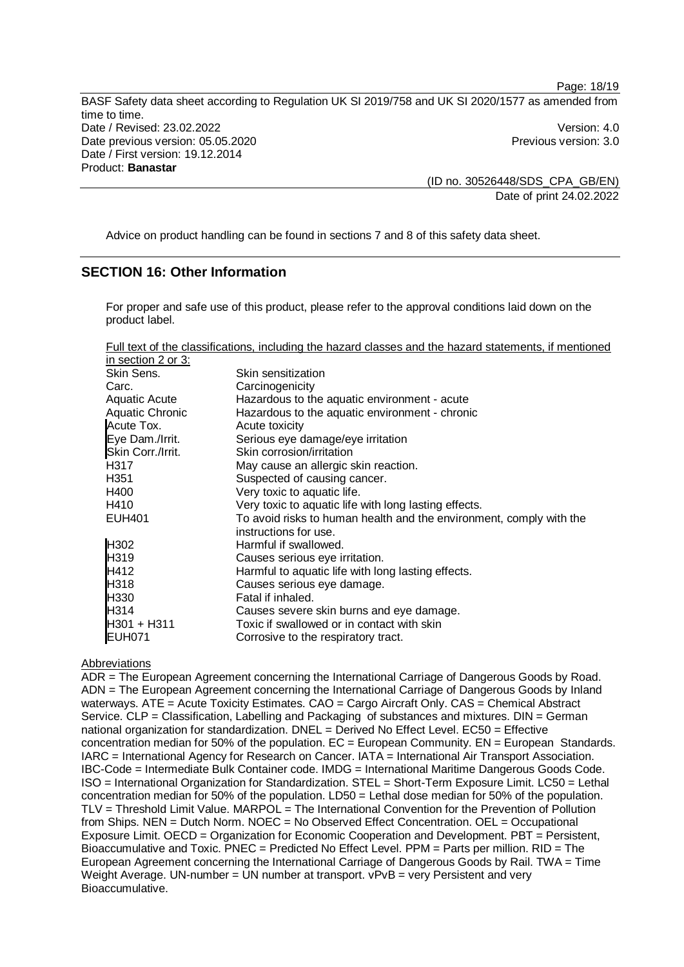(ID no. 30526448/SDS\_CPA\_GB/EN) Date of print 24.02.2022

Page: 18/19

Advice on product handling can be found in sections 7 and 8 of this safety data sheet.

## **SECTION 16: Other Information**

For proper and safe use of this product, please refer to the approval conditions laid down on the product label.

Full text of the classifications, including the hazard classes and the hazard statements, if mentioned in section  $2$  or  $3$ :

| Skin sensitization                                                  |
|---------------------------------------------------------------------|
| Carcinogenicity                                                     |
| Hazardous to the aquatic environment - acute                        |
| Hazardous to the aquatic environment - chronic                      |
| Acute toxicity                                                      |
| Serious eye damage/eye irritation                                   |
| Skin corrosion/irritation                                           |
| May cause an allergic skin reaction.                                |
| Suspected of causing cancer.                                        |
| Very toxic to aquatic life.                                         |
| Very toxic to aquatic life with long lasting effects.               |
| To avoid risks to human health and the environment, comply with the |
| instructions for use.                                               |
| Harmful if swallowed.                                               |
| Causes serious eye irritation.                                      |
| Harmful to aquatic life with long lasting effects.                  |
| Causes serious eye damage.                                          |
| Fatal if inhaled.                                                   |
| Causes severe skin burns and eye damage.                            |
| Toxic if swallowed or in contact with skin                          |
| Corrosive to the respiratory tract.                                 |
|                                                                     |

#### Abbreviations

ADR = The European Agreement concerning the International Carriage of Dangerous Goods by Road. ADN = The European Agreement concerning the International Carriage of Dangerous Goods by Inland waterways. ATE = Acute Toxicity Estimates. CAO = Cargo Aircraft Only. CAS = Chemical Abstract Service. CLP = Classification, Labelling and Packaging of substances and mixtures. DIN = German national organization for standardization. DNEL = Derived No Effect Level. EC50 = Effective concentration median for 50% of the population.  $EC = European Community$ .  $EN = European Standards$ . IARC = International Agency for Research on Cancer. IATA = International Air Transport Association. IBC-Code = Intermediate Bulk Container code. IMDG = International Maritime Dangerous Goods Code. ISO = International Organization for Standardization. STEL = Short-Term Exposure Limit. LC50 = Lethal concentration median for 50% of the population. LD50 = Lethal dose median for 50% of the population. TLV = Threshold Limit Value. MARPOL = The International Convention for the Prevention of Pollution from Ships. NEN = Dutch Norm. NOEC = No Observed Effect Concentration. OEL = Occupational Exposure Limit. OECD = Organization for Economic Cooperation and Development. PBT = Persistent, Bioaccumulative and Toxic. PNEC = Predicted No Effect Level. PPM = Parts per million. RID = The European Agreement concerning the International Carriage of Dangerous Goods by Rail. TWA = Time Weight Average. UN-number = UN number at transport. vPvB = very Persistent and very Bioaccumulative.